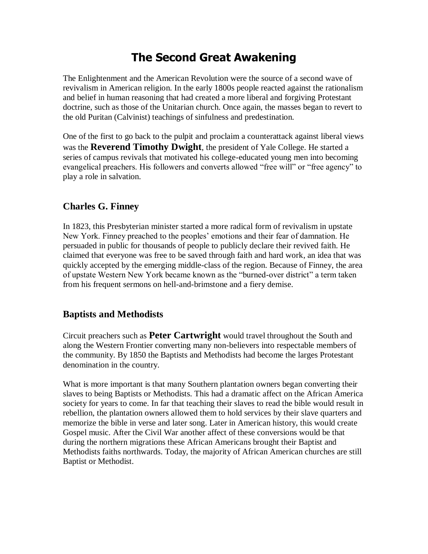# **The Second Great Awakening**

The Enlightenment and the American Revolution were the source of a second wave of revivalism in American religion. In the early 1800s people reacted against the rationalism and belief in human reasoning that had created a more liberal and forgiving Protestant doctrine, such as those of the Unitarian church. Once again, the masses began to revert to the old Puritan (Calvinist) teachings of sinfulness and predestination.

One of the first to go back to the pulpit and proclaim a counterattack against liberal views was the **Reverend Timothy Dwight**, the president of Yale College. He started a series of campus revivals that motivated his college-educated young men into becoming evangelical preachers. His followers and converts allowed "free will" or "free agency" to play a role in salvation.

# **Charles G. Finney**

In 1823, this Presbyterian minister started a more radical form of revivalism in upstate New York. Finney preached to the peoples' emotions and their fear of damnation. He persuaded in public for thousands of people to publicly declare their revived faith. He claimed that everyone was free to be saved through faith and hard work, an idea that was quickly accepted by the emerging middle-class of the region. Because of Finney, the area of upstate Western New York became known as the "burned-over district" a term taken from his frequent sermons on hell-and-brimstone and a fiery demise.

## **Baptists and Methodists**

Circuit preachers such as **Peter Cartwright** would travel throughout the South and along the Western Frontier converting many non-believers into respectable members of the community. By 1850 the Baptists and Methodists had become the larges Protestant denomination in the country.

What is more important is that many Southern plantation owners began converting their slaves to being Baptists or Methodists. This had a dramatic affect on the African America society for years to come. In far that teaching their slaves to read the bible would result in rebellion, the plantation owners allowed them to hold services by their slave quarters and memorize the bible in verse and later song. Later in American history, this would create Gospel music. After the Civil War another affect of these conversions would be that during the northern migrations these African Americans brought their Baptist and Methodists faiths northwards. Today, the majority of African American churches are still Baptist or Methodist.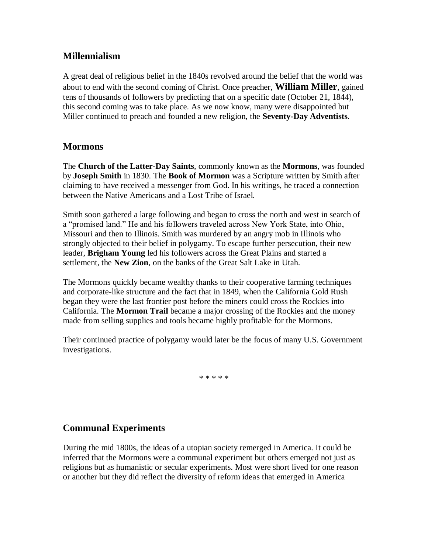## **Millennialism**

A great deal of religious belief in the 1840s revolved around the belief that the world was about to end with the second coming of Christ. Once preacher, **William Miller**, gained tens of thousands of followers by predicting that on a specific date (October 21, 1844), this second coming was to take place. As we now know, many were disappointed but Miller continued to preach and founded a new religion, the **Seventy-Day Adventists**.

#### **Mormons**

The **Church of the Latter-Day Saints**, commonly known as the **Mormons**, was founded by **Joseph Smith** in 1830. The **Book of Mormon** was a Scripture written by Smith after claiming to have received a messenger from God. In his writings, he traced a connection between the Native Americans and a Lost Tribe of Israel.

Smith soon gathered a large following and began to cross the north and west in search of a "promised land." He and his followers traveled across New York State, into Ohio, Missouri and then to Illinois. Smith was murdered by an angry mob in Illinois who strongly objected to their belief in polygamy. To escape further persecution, their new leader, **Brigham Young** led his followers across the Great Plains and started a settlement, the **New Zion**, on the banks of the Great Salt Lake in Utah.

The Mormons quickly became wealthy thanks to their cooperative farming techniques and corporate-like structure and the fact that in 1849, when the California Gold Rush began they were the last frontier post before the miners could cross the Rockies into California. The **Mormon Trail** became a major crossing of the Rockies and the money made from selling supplies and tools became highly profitable for the Mormons.

Their continued practice of polygamy would later be the focus of many U.S. Government investigations.

\* \* \* \* \*

#### **Communal Experiments**

During the mid 1800s, the ideas of a utopian society remerged in America. It could be inferred that the Mormons were a communal experiment but others emerged not just as religions but as humanistic or secular experiments. Most were short lived for one reason or another but they did reflect the diversity of reform ideas that emerged in America